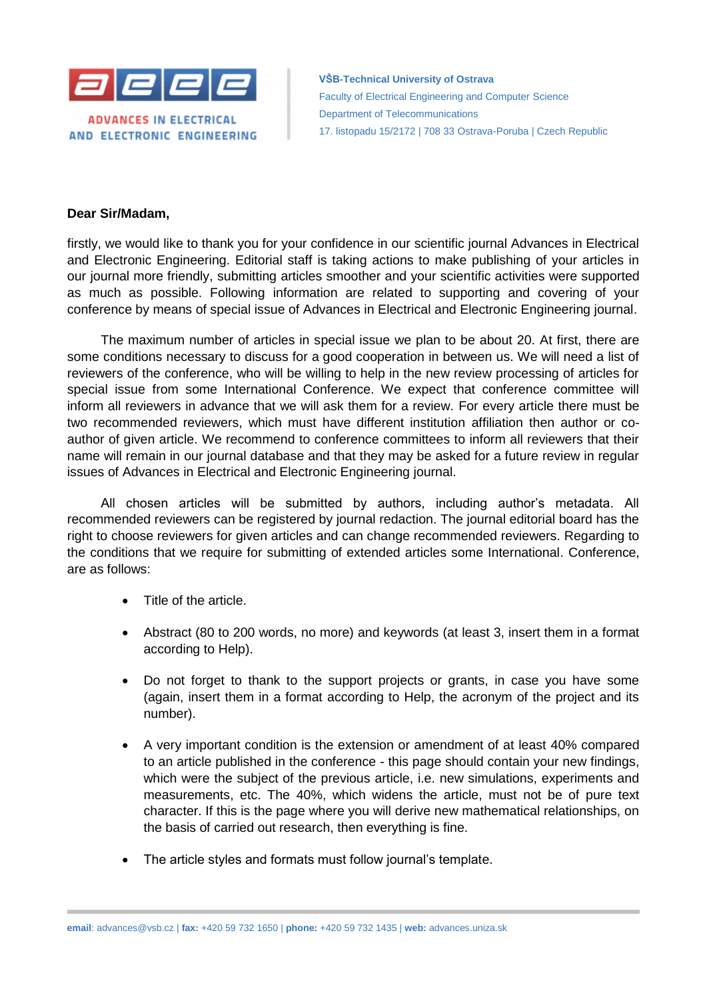

**VŠB-Technical University of Ostrava** Faculty of Electrical Engineering and Computer Science Department of Telecommunications 17. listopadu 15/2172 | 708 33 Ostrava-Poruba | Czech Republic

## **Dear Sir/Madam,**

firstly, we would like to thank you for your confidence in our scientific journal Advances in Electrical and Electronic Engineering. Editorial staff is taking actions to make publishing of your articles in our journal more friendly, submitting articles smoother and your scientific activities were supported as much as possible. Following information are related to supporting and covering of your conference by means of special issue of Advances in Electrical and Electronic Engineering journal.

The maximum number of articles in special issue we plan to be about 20. At first, there are some conditions necessary to discuss for a good cooperation in between us. We will need a list of reviewers of the conference, who will be willing to help in the new review processing of articles for special issue from some International Conference. We expect that conference committee will inform all reviewers in advance that we will ask them for a review. For every article there must be two recommended reviewers, which must have different institution affiliation then author or coauthor of given article. We recommend to conference committees to inform all reviewers that their name will remain in our journal database and that they may be asked for a future review in regular issues of Advances in Electrical and Electronic Engineering journal.

All chosen articles will be submitted by authors, including author's metadata. All recommended reviewers can be registered by journal redaction. The journal editorial board has the right to choose reviewers for given articles and can change recommended reviewers. Regarding to the conditions that we require for submitting of extended articles some International. Conference, are as follows:

- Title of the article.
- Abstract (80 to 200 words, no more) and keywords (at least 3, insert them in a format according to Help).
- Do not forget to thank to the support projects or grants, in case you have some (again, insert them in a format according to Help, the acronym of the project and its number).
- A very important condition is the extension or amendment of at least 40% compared to an article published in the conference - this page should contain your new findings, which were the subject of the previous article, i.e. new simulations, experiments and measurements, etc. The 40%, which widens the article, must not be of pure text character. If this is the page where you will derive new mathematical relationships, on the basis of carried out research, then everything is fine.
- The article styles and formats must follow journal's template.